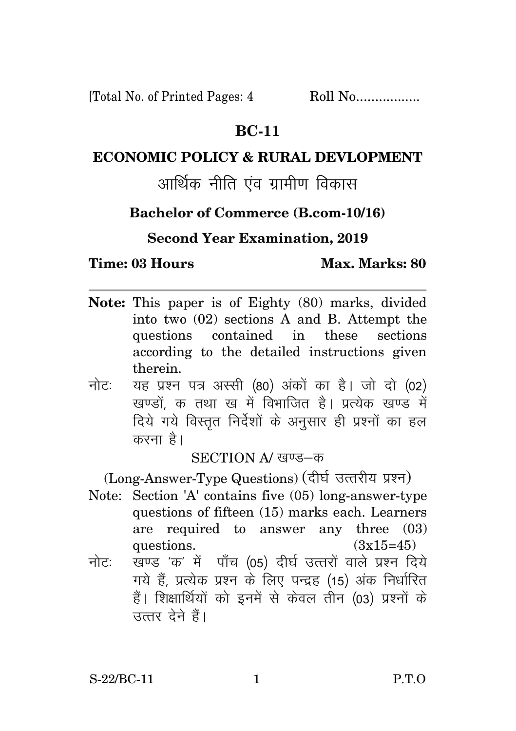[Total No. of Printed Pages: 4 Roll No.................

## **BC-11**

## **ECONOMIC POLICY & RURAL DEVLOPMENT**

# आर्थिक नीति एंव ग्रामीण विकास

# **Bachelor of Commerce (B.com-10/16)**

# **Second Year Examination, 2019**

#### **Time: 03 Hours Max. Marks: 80**

- **Note:** This paper is of Eighty (80) marks, divided into two (02) sections A and B. Attempt the questions contained in these sections according to the detailed instructions given therein.
- नोट: यह प्रश्न पत्र अस्सी (80) अंकों का है। जो दो (02) खण्डों क तथा ख में विभाजित है। प्रत्येक खण्ड में दिये गये विस्तृत निर्देशों के अनुसार ही प्रश्नों का हल करना है।

SECTION A/ खण्ड-क

(Long-Answer-Type Questions) (दीर्घ उत्तरीय प्रश्न)

- Note: Section 'A' contains five (05) long-answer-type questions of fifteen (15) marks each. Learners are required to answer any three (03) questions.  $(3x15=45)$
- नोटः खण्ड*'*क' में पाँच (05) दीर्घ उत्तरों वाले प्रश्न दिये गये हैं, प्रत्येक प्रश्न के लिए पन्द्रह (15) अंक निर्धारित हैं। शिक्षार्थियों को इनमें से केवल तीन (03) प्रश्नों के उत्तर देने हैं।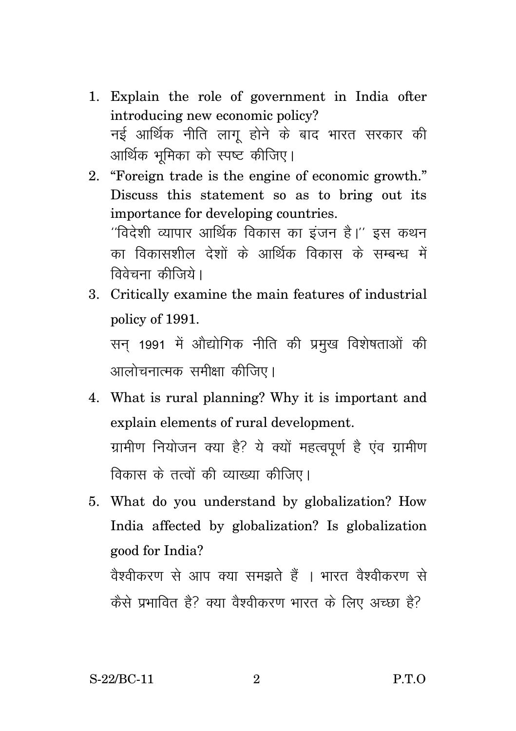- 1. Explain the role of government in India ofter introducing new economic policy? नई आर्थिक नीति लाग होने के बाद भारत सरकार की आर्थिक भूमिका को स्पष्ट कीजिए।
- 2. "Foreign trade is the engine of economic growth." Discuss this statement so as to bring out its importance for developing countries.  $^{\prime\prime}$ विदेशी व्यापार आर्थिक विकास का इंजन है। $^{\prime\prime}$  इस कथन का विकासशील देशों के आर्थिक विकास के सम्बन्ध में

3. Critically examine the main features of industrial policy of 1991. सन् 1991 में ओद्योगिक नीति की प्रमुख विशेषताओं की आलोचनात्मक समीक्षा कीजिए।

विवेचना कीजिये।

- 4. What is rural planning? Why it is important and explain elements of rural development. ग्रामीण नियोजन क्या है? ये क्यों महत्वपूर्ण है एंव ग्रामीण विकास के तत्वों की व्याख्या कीजिए।
- 5. What do you understand by globalization? How India affected by globalization? Is globalization good for India? वेश्वीकरण से आप क्या समझते हैं । भारत वेश्वीकरण से कैसे प्रभावित है? क्या वैश्वीकरण भारत के लिए अच्छा है?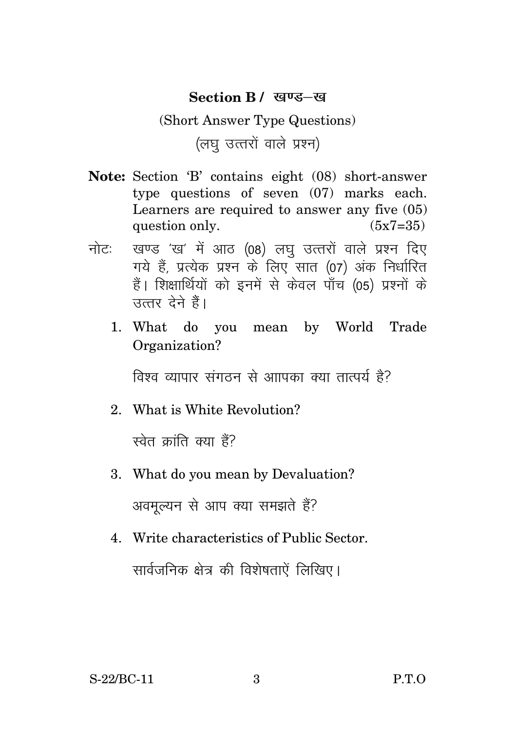#### **Section B** / खण्ड-ख

# (Short Answer Type Questions) (लघ उत्तरों वाले प्रश्न)

- **Note:** Section 'B' contains eight (08) short-answer type questions of seven (07) marks each. Learners are required to answer any five (05) question only.  $(5x7=35)$
- नोट: खण्ड 'ख' में आठ (08) लघु उत्तरों वाले प्रश्न दिए गये हैं, प्रत्येक प्रश्न के लिए सात (07) अंक निर्धारित हैं। शिक्षार्थियों को इनमें से केवल पाँच (05) प्रश्नों के सत्तर देने हैं।
	- 1. What do you mean by World Trade Organization?

विश्व व्यापार संगतन से आापका क्या तात्पर्य है?

2. What is White Revolution?

स्वेत क्रांति क्या हैं?

3. What do you mean by Devaluation?

अवमल्यन से आप क्या समझते हैं?

4. Write characteristics of Public Sector. सार्वजनिक क्षेत्र की विशेषताऐं लिखिए।